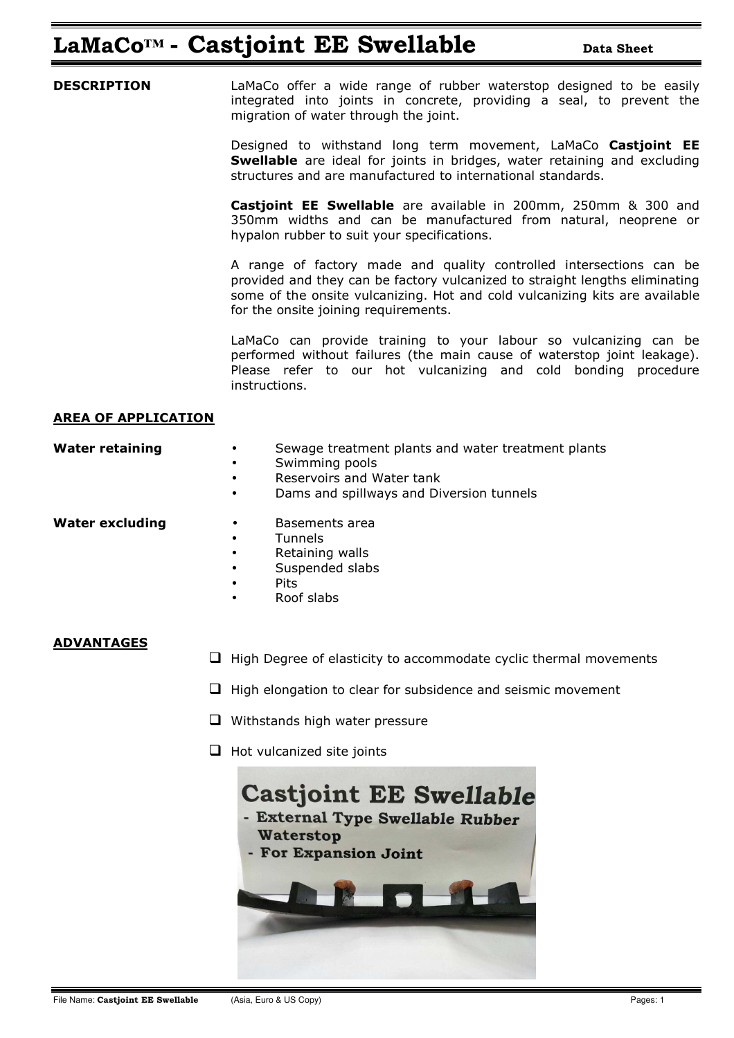## **LaMaCo<sup>™</sup> • Castjoint EE Swellable Data Sheet**

**DESCRIPTION** LaMaCo offer a wide range of rubber waterstop designed to be easily integrated into joints in concrete, providing a seal, to prevent the migration of water through the joint.

> Designed to withstand long term movement, LaMaCo **Castjoint EE Swellable** are ideal for joints in bridges, water retaining and excluding structures and are manufactured to international standards.

> **Castjoint EE Swellable** are available in 200mm, 250mm & 300 and 350mm widths and can be manufactured from natural, neoprene or hypalon rubber to suit your specifications.

> A range of factory made and quality controlled intersections can be provided and they can be factory vulcanized to straight lengths eliminating some of the onsite vulcanizing. Hot and cold vulcanizing kits are available for the onsite joining requirements.

> LaMaCo can provide training to your labour so vulcanizing can be performed without failures (the main cause of waterstop joint leakage). Please refer to our hot vulcanizing and cold bonding procedure instructions.

#### **AREA OF APPLICATION**

| <b>Water retaining</b> | Sewage treatment plants and water treatment plants |
|------------------------|----------------------------------------------------|
|                        | Swimming pools                                     |
|                        | Dessuratus sud Watsu taula                         |

- Reservoirs and Water tank
- Dams and spillways and Diversion tunnels

- **Water excluding by a Basements area** 
	- **Tunnels**
	- Retaining walls
	- Suspended slabs
	- Pits
	- Roof slabs

#### **ADVANTAGES**

- $\Box$  High Degree of elasticity to accommodate cyclic thermal movements
- $\Box$  High elongation to clear for subsidence and seismic movement
- $\Box$  Withstands high water pressure
- $\Box$  Hot vulcanized site joints

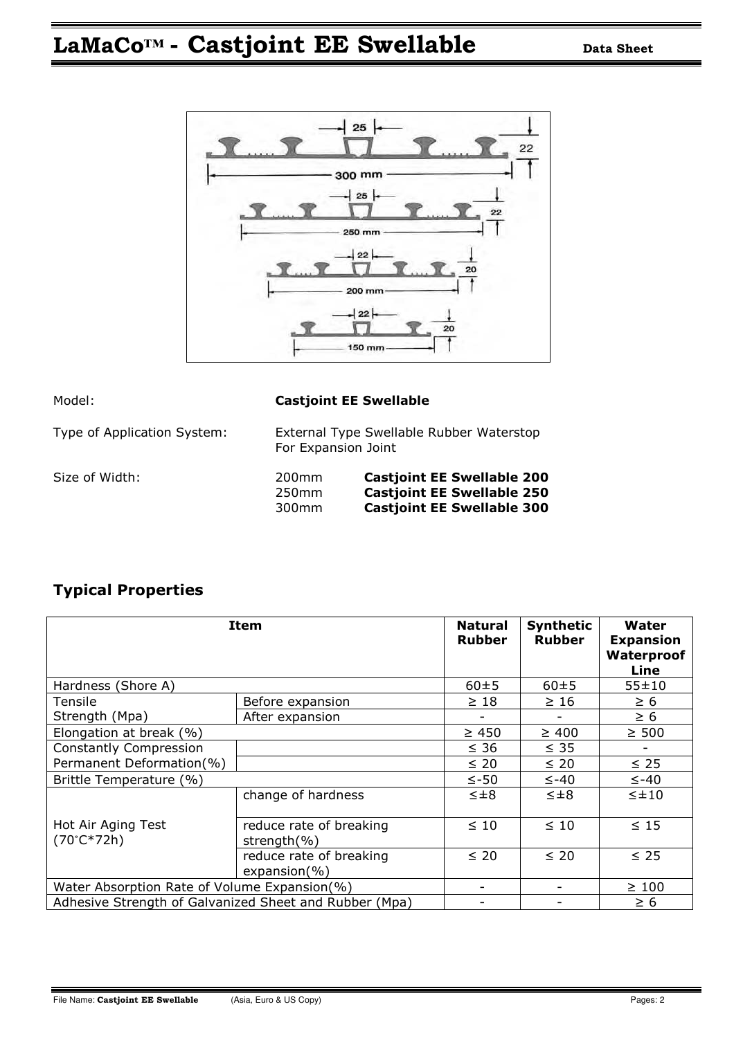# **LaMaCo™ - Castjoint EE Swellable Data Sheet**



| Model:                      | <b>Castjoint EE Swellable</b>                                   |                                                                                                             |  |  |
|-----------------------------|-----------------------------------------------------------------|-------------------------------------------------------------------------------------------------------------|--|--|
| Type of Application System: | External Type Swellable Rubber Waterstop<br>For Expansion Joint |                                                                                                             |  |  |
| Size of Width:              | 200 <sub>mm</sub><br>250 <sub>mm</sub><br>300 <sub>mm</sub>     | <b>Castjoint EE Swellable 200</b><br><b>Castjoint EE Swellable 250</b><br><b>Castjoint EE Swellable 300</b> |  |  |

### **Typical Properties**

| <b>Item</b>                                            | <b>Natural</b><br><b>Rubber</b>             | <b>Synthetic</b><br><b>Rubber</b> | Water<br><b>Expansion</b><br>Waterproof<br>Line |               |
|--------------------------------------------------------|---------------------------------------------|-----------------------------------|-------------------------------------------------|---------------|
| Hardness (Shore A)                                     | $60 + 5$                                    | $60 + 5$                          | $55 + 10$                                       |               |
| Tensile                                                | Before expansion                            | $\geq 18$                         | $\geq 16$                                       | $\geq 6$      |
| Strength (Mpa)                                         | After expansion                             |                                   |                                                 | $\geq 6$      |
| Elongation at break (%)                                |                                             | $\geq 450$                        | $\geq 400$                                      | $\geq 500$    |
| <b>Constantly Compression</b>                          |                                             | $\leq 36$                         | $\leq$ 35                                       |               |
| Permanent Deformation(%)                               |                                             | $\leq 20$                         | $\leq 20$                                       | $\leq$ 25     |
| Brittle Temperature (%)                                | $\leq -50$                                  | $\leq -40$                        | $\leq -40$                                      |               |
| Hot Air Aging Test<br>$(70^{\circ}C*72h)$              | change of hardness                          | $\leq \pm 8$                      | $\leq \pm 8$                                    | $\leq \pm 10$ |
|                                                        | reduce rate of breaking<br>strength $(\% )$ | $\leq 10$                         | $\leq 10$                                       | $\leq 15$     |
|                                                        | reduce rate of breaking<br>$expansion(\%)$  | $\leq 20$                         | $\leq 20$                                       | $\leq 25$     |
| Water Absorption Rate of Volume Expansion(%)           |                                             |                                   | $\geq 100$                                      |               |
| Adhesive Strength of Galvanized Sheet and Rubber (Mpa) |                                             |                                   | $\geq 6$                                        |               |

Ξ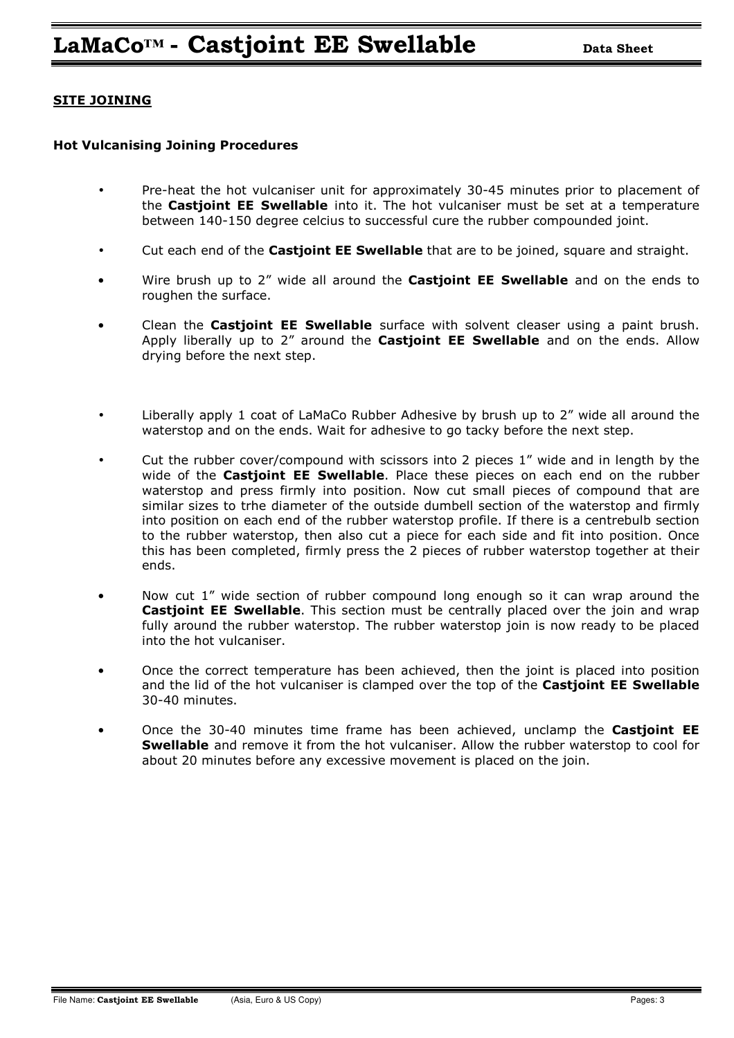#### **SITE JOINING**

#### **Hot Vulcanising Joining Procedures**

- Pre-heat the hot vulcaniser unit for approximately 30-45 minutes prior to placement of the **Castjoint EE Swellable** into it. The hot vulcaniser must be set at a temperature between 140-150 degree celcius to successful cure the rubber compounded joint.
- Cut each end of the **Castjoint EE Swellable** that are to be joined, square and straight.
- Wire brush up to 2" wide all around the **Castjoint EE Swellable** and on the ends to roughen the surface.
- Clean the **Castjoint EE Swellable** surface with solvent cleaser using a paint brush. Apply liberally up to 2" around the **Castjoint EE Swellable** and on the ends. Allow drying before the next step.
- Liberally apply 1 coat of LaMaCo Rubber Adhesive by brush up to 2" wide all around the waterstop and on the ends. Wait for adhesive to go tacky before the next step.
- Cut the rubber cover/compound with scissors into 2 pieces 1" wide and in length by the wide of the **Castjoint EE Swellable**. Place these pieces on each end on the rubber waterstop and press firmly into position. Now cut small pieces of compound that are similar sizes to trhe diameter of the outside dumbell section of the waterstop and firmly into position on each end of the rubber waterstop profile. If there is a centrebulb section to the rubber waterstop, then also cut a piece for each side and fit into position. Once this has been completed, firmly press the 2 pieces of rubber waterstop together at their ends.
- Now cut 1" wide section of rubber compound long enough so it can wrap around the **Castjoint EE Swellable**. This section must be centrally placed over the join and wrap fully around the rubber waterstop. The rubber waterstop join is now ready to be placed into the hot vulcaniser.
- Once the correct temperature has been achieved, then the joint is placed into position and the lid of the hot vulcaniser is clamped over the top of the **Castjoint EE Swellable**  30-40 minutes.
- Once the 30-40 minutes time frame has been achieved, unclamp the **Castjoint EE Swellable** and remove it from the hot vulcaniser. Allow the rubber waterstop to cool for about 20 minutes before any excessive movement is placed on the join.